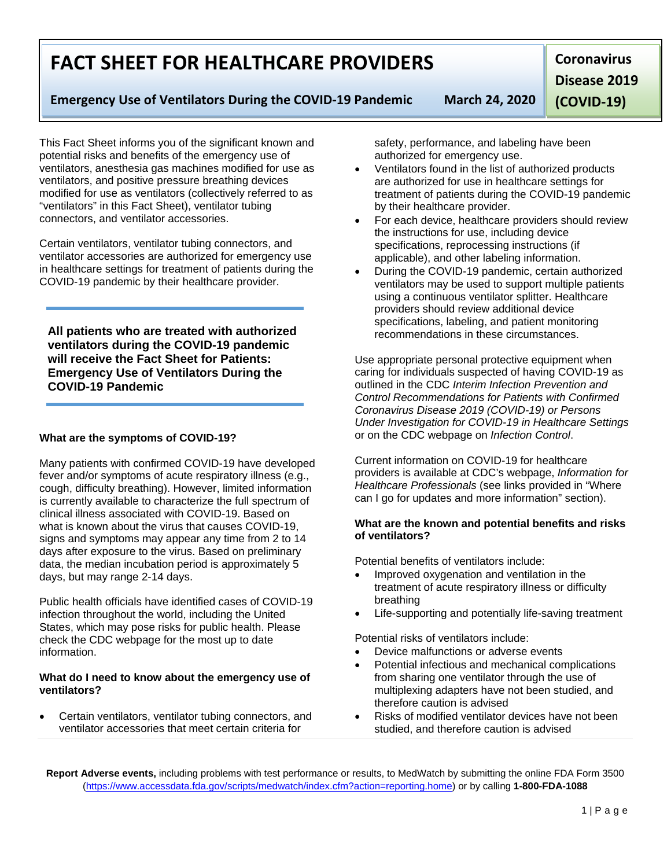1 | Page

# **FACT SHEET FOR HEALTHCARE PROVIDERS**

## **Emergency Use of Ventilators During the COVID-19 Pandemic March 24, 2020**

**Disease 2019** 

**Coronavirus** 

**(COVID-19)**

This Fact Sheet informs you of the significant known and potential risks and benefits of the emergency use of ventilators, anesthesia gas machines modified for use as ventilators, and positive pressure breathing devices modified for use as ventilators (collectively referred to as "ventilators" in this Fact Sheet), ventilator tubing connectors, and ventilator accessories.

Certain ventilators, ventilator tubing connectors, and ventilator accessories are authorized for emergency use in healthcare settings for treatment of patients during the COVID-19 pandemic by their healthcare provider.

**All patients who are treated with authorized ventilators during the COVID-19 pandemic will receive the Fact Sheet for Patients: Emergency Use of Ventilators During the COVID-19 Pandemic**

## **What are the symptoms of COVID-19?**

Many patients with confirmed COVID-19 have developed fever and/or symptoms of acute respiratory illness (e.g., cough, difficulty breathing). However, limited information is currently available to characterize the full spectrum of clinical illness associated with COVID-19. Based on what is known about the virus that causes COVID-19, signs and symptoms may appear any time from 2 to 14 days after exposure to the virus. Based on preliminary data, the median incubation period is approximately 5 days, but may range 2-14 days.

Public health officials have identified cases of COVID-19 infection throughout the world, including the United States, which may pose risks for public health. Please check the CDC webpage for the most up to date information.

#### **What do I need to know about the emergency use of ventilators?**

• Certain ventilators, ventilator tubing connectors, and ventilator accessories that meet certain criteria for

safety, performance, and labeling have been authorized for emergency use.

- Ventilators found in the list of authorized products are authorized for use in healthcare settings for treatment of patients during the COVID-19 pandemic by their healthcare provider.
- For each device, healthcare providers should review the instructions for use, including device specifications, reprocessing instructions (if applicable), and other labeling information.
- During the COVID-19 pandemic, certain authorized ventilators may be used to support multiple patients using a continuous ventilator splitter. Healthcare providers should review additional device specifications, labeling, and patient monitoring recommendations in these circumstances.

Use appropriate personal protective equipment when caring for individuals suspected of having COVID-19 as outlined in the CDC *Interim Infection Prevention and Control Recommendations for Patients with Confirmed Coronavirus Disease 2019 (COVID-19) or Persons Under Investigation for COVID-19 in Healthcare Settings*  or on the CDC webpage on *Infection Control*.

Current information on COVID-19 for healthcare providers is available at CDC's webpage, *Information for Healthcare Professionals* (see links provided in "Where can I go for updates and more information" section).

#### **What are the known and potential benefits and risks of ventilators?**

Potential benefits of ventilators include:

- Improved oxygenation and ventilation in the treatment of acute respiratory illness or difficulty breathing
- Life-supporting and potentially life-saving treatment

Potential risks of ventilators include:

- Device malfunctions or adverse events
- Potential infectious and mechanical complications from sharing one ventilator through the use of multiplexing adapters have not been studied, and therefore caution is advised
- Risks of modified ventilator devices have not been studied, and therefore caution is advised

**Report Adverse events,** including problems with test performance or results, to MedWatch by submitting the online FDA Form 3500 [\(https://www.accessdata.fda.gov/scripts/medwatch/index.cfm?action=reporting.home\)](https://www.accessdata.fda.gov/scripts/medwatch/index.cfm?action=reporting.home) or by calling **1-800-FDA-1088**